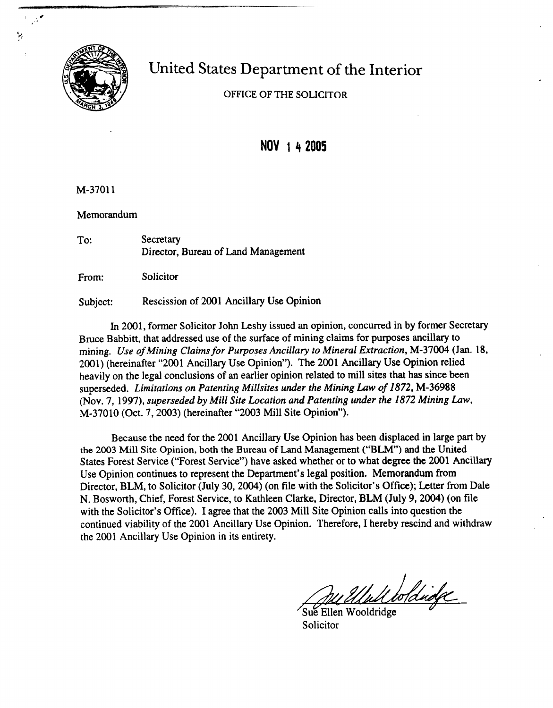

## United States Department of the Interior

OFFICE OF THE SOLICITOR

**NOV 1 4 2005** 

M-37011

Memorandum

| To: | Secretary                           |
|-----|-------------------------------------|
|     | Director, Bureau of Land Management |

From: Solicitor

Subject: Rescission of 2001 Ancillary Use Opinion

In 2001, former Solicitor John Leshy issued an opinion, concurred in by former Secretary Bruce Babbitt, that addressed use of the surface of mining claims for purposes ancillary to mining. **Use** *of Mining Claims for Purposes Ancillary to Mineral Extraction,* M-37004 (Jan. *18,*  2001) (hereinafter "2001 Ancillary Use Opinion"). The 2001 Ancillary Use Opinion relied heavily on the legal conclusions of an earlier opinion related to mill sites that has since been superseded. *Limitations on Patenting Millsites under the Mining Law of 1872,* M-36988 (Nov. **7,** 1997), *superseded* by *Mill Site Location and Patenting under the 1872 Mining Law,*  M-37010 (Oct. 7,2003) (hereinafter "2003 Mill Site Opinion").

Because the need for the 2001 Ancillary Use Opinion has been displaced in large part by **the 2003 Mill Site Opinion, both the Bureau of** Land Management **("BLM)** and the United States Forest Service ("Forest Service") have asked whether or to what degree the 2001 Ancillary Use Opinion continues to represent the Department's legal position. Memorandum from Director, BLM, to Solicitor (July 30, 2004) (on file with the Solicitor's Office); Letter from Dale N. Bosworth, Chief, Forest Service, to Kathleen Clarke, Director, BLM (July 9,2004) (on file with the Solicitor's Office). I agree that the 2003 Mill Site Opinion calls into question the continued viability of the 2001 Ancillary Use Opinion. Therefore, I hereby rescind and withdraw the 2001 Ancillary Use Opinion in its entirety.

Mull boldridge

Sue Ellen Wooldridge Solicitor